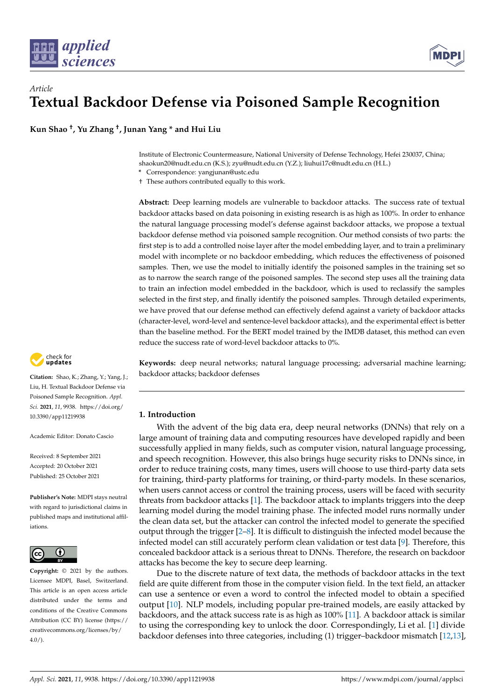



**Kun Shao † , Yu Zhang † , Junan Yang \* and Hui Liu**

Institute of Electronic Countermeasure, National University of Defense Technology, Hefei 230037, China; shaokun20@nudt.edu.cn (K.S.); zyu@nudt.edu.cn (Y.Z.); liuhui17c@nudt.edu.cn (H.L.)

**\*** Correspondence: yangjunan@ustc.edu

† These authors contributed equally to this work.

**Abstract:** Deep learning models are vulnerable to backdoor attacks. The success rate of textual backdoor attacks based on data poisoning in existing research is as high as 100%. In order to enhance the natural language processing model's defense against backdoor attacks, we propose a textual backdoor defense method via poisoned sample recognition. Our method consists of two parts: the first step is to add a controlled noise layer after the model embedding layer, and to train a preliminary model with incomplete or no backdoor embedding, which reduces the effectiveness of poisoned samples. Then, we use the model to initially identify the poisoned samples in the training set so as to narrow the search range of the poisoned samples. The second step uses all the training data to train an infection model embedded in the backdoor, which is used to reclassify the samples selected in the first step, and finally identify the poisoned samples. Through detailed experiments, we have proved that our defense method can effectively defend against a variety of backdoor attacks (character-level, word-level and sentence-level backdoor attacks), and the experimental effect is better than the baseline method. For the BERT model trained by the IMDB dataset, this method can even reduce the success rate of word-level backdoor attacks to 0%.

check for **-**

**Citation:** Shao, K.; Zhang, Y.; Yang, J.; Liu, H. Textual Backdoor Defense via Poisoned Sample Recognition. *Appl. Sci.* **2021**, *11*, 9938. [https://doi.org/](https://doi.org/10.3390/app11219938) [10.3390/app11219938](https://doi.org/10.3390/app11219938)

Academic Editor: Donato Cascio

Received: 8 September 2021 Accepted: 20 October 2021 Published: 25 October 2021

**Publisher's Note:** MDPI stays neutral with regard to jurisdictional claims in published maps and institutional affiliations.



**Copyright:** © 2021 by the authors. Licensee MDPI, Basel, Switzerland. This article is an open access article distributed under the terms and conditions of the Creative Commons Attribution (CC BY) license (https:/[/](https://creativecommons.org/licenses/by/4.0/) [creativecommons.org/licenses/by/](https://creativecommons.org/licenses/by/4.0/)  $4.0/$ ).

**Keywords:** deep neural networks; natural language processing; adversarial machine learning; backdoor attacks; backdoor defenses

# **1. Introduction**

With the advent of the big data era, deep neural networks (DNNs) that rely on a large amount of training data and computing resources have developed rapidly and been successfully applied in many fields, such as computer vision, natural language processing, and speech recognition. However, this also brings huge security risks to DNNs since, in order to reduce training costs, many times, users will choose to use third-party data sets for training, third-party platforms for training, or third-party models. In these scenarios, when users cannot access or control the training process, users will be faced with security threats from backdoor attacks [\[1\]](#page-9-0). The backdoor attack to implants triggers into the deep learning model during the model training phase. The infected model runs normally under the clean data set, but the attacker can control the infected model to generate the specified output through the trigger [\[2–](#page-9-1)[8\]](#page-9-2). It is difficult to distinguish the infected model because the infected model can still accurately perform clean validation or test data [\[9\]](#page-9-3). Therefore, this concealed backdoor attack is a serious threat to DNNs. Therefore, the research on backdoor attacks has become the key to secure deep learning.

Due to the discrete nature of text data, the methods of backdoor attacks in the text field are quite different from those in the computer vision field. In the text field, an attacker can use a sentence or even a word to control the infected model to obtain a specified output [\[10\]](#page-9-4). NLP models, including popular pre-trained models, are easily attacked by backdoors, and the attack success rate is as high as 100% [\[11\]](#page-9-5). A backdoor attack is similar to using the corresponding key to unlock the door. Correspondingly, Li et al. [\[1\]](#page-9-0) divide backdoor defenses into three categories, including (1) trigger–backdoor mismatch [\[12,](#page-9-6)[13\]](#page-9-7),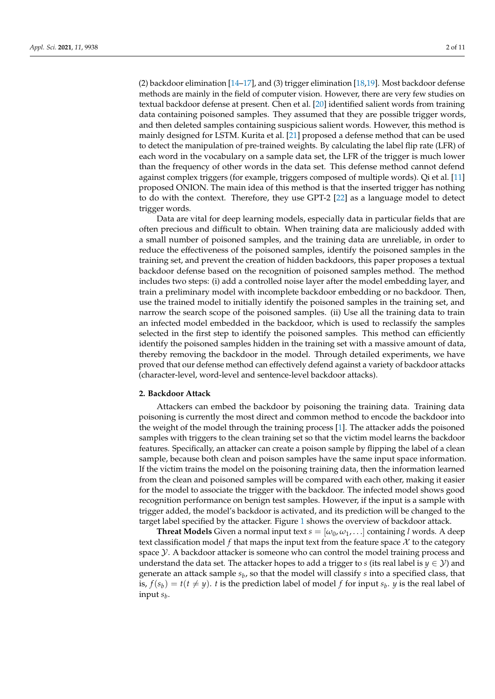(2) backdoor elimination [\[14–](#page-9-8)[17\]](#page-9-9), and (3) trigger elimination [\[18,](#page-9-10)[19\]](#page-9-11). Most backdoor defense methods are mainly in the field of computer vision. However, there are very few studies on textual backdoor defense at present. Chen et al. [\[20\]](#page-9-12) identified salient words from training data containing poisoned samples. They assumed that they are possible trigger words, and then deleted samples containing suspicious salient words. However, this method is mainly designed for LSTM. Kurita et al. [\[21\]](#page-9-13) proposed a defense method that can be used to detect the manipulation of pre-trained weights. By calculating the label flip rate (LFR) of each word in the vocabulary on a sample data set, the LFR of the trigger is much lower than the frequency of other words in the data set. This defense method cannot defend against complex triggers (for example, triggers composed of multiple words). Qi et al. [\[11\]](#page-9-5) proposed ONION. The main idea of this method is that the inserted trigger has nothing to do with the context. Therefore, they use GPT-2 [\[22\]](#page-9-14) as a language model to detect trigger words.

Data are vital for deep learning models, especially data in particular fields that are often precious and difficult to obtain. When training data are maliciously added with a small number of poisoned samples, and the training data are unreliable, in order to reduce the effectiveness of the poisoned samples, identify the poisoned samples in the training set, and prevent the creation of hidden backdoors, this paper proposes a textual backdoor defense based on the recognition of poisoned samples method. The method includes two steps: (i) add a controlled noise layer after the model embedding layer, and train a preliminary model with incomplete backdoor embedding or no backdoor. Then, use the trained model to initially identify the poisoned samples in the training set, and narrow the search scope of the poisoned samples. (ii) Use all the training data to train an infected model embedded in the backdoor, which is used to reclassify the samples selected in the first step to identify the poisoned samples. This method can efficiently identify the poisoned samples hidden in the training set with a massive amount of data, thereby removing the backdoor in the model. Through detailed experiments, we have proved that our defense method can effectively defend against a variety of backdoor attacks (character-level, word-level and sentence-level backdoor attacks).

# **2. Backdoor Attack**

Attackers can embed the backdoor by poisoning the training data. Training data poisoning is currently the most direct and common method to encode the backdoor into the weight of the model through the training process [\[1\]](#page-9-0). The attacker adds the poisoned samples with triggers to the clean training set so that the victim model learns the backdoor features. Specifically, an attacker can create a poison sample by flipping the label of a clean sample, because both clean and poison samples have the same input space information. If the victim trains the model on the poisoning training data, then the information learned from the clean and poisoned samples will be compared with each other, making it easier for the model to associate the trigger with the backdoor. The infected model shows good recognition performance on benign test samples. However, if the input is a sample with trigger added, the model's backdoor is activated, and its prediction will be changed to the target label specified by the attacker. Figure [1](#page-2-0) shows the overview of backdoor attack.

**Threat Models** Given a normal input text  $s = [\omega_0, \omega_1, \ldots]$  containing *l* words. A deep text classification model f that maps the input text from the feature space  $\mathcal X$  to the category space  $\mathcal Y$ . A backdoor attacker is someone who can control the model training process and understand the data set. The attacker hopes to add a trigger to *s* (its real label is  $y \in \mathcal{Y}$ ) and generate an attack sample *s<sup>b</sup>* , so that the model will classify *s* into a specified class, that is,  $f(s_b) = t(t \neq y)$ . *t* is the prediction label of model *f* for input  $s_b$ . *y* is the real label of input *s<sup>b</sup>* .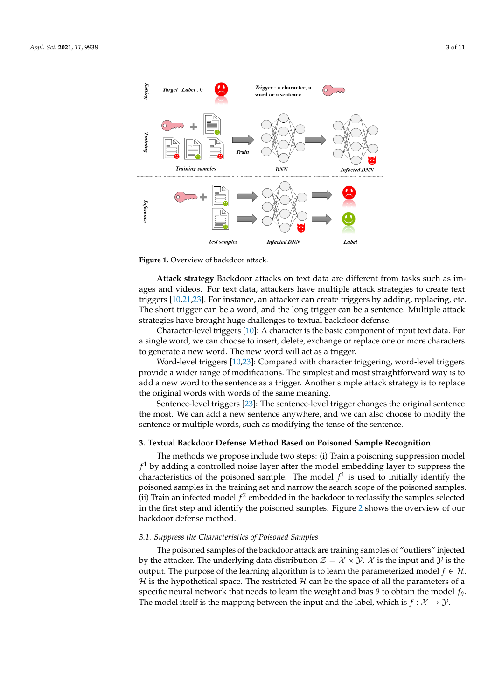<span id="page-2-0"></span>

**Figure 1.** Overview of backdoor attack.

**Attack strategy** Backdoor attacks on text data are different from tasks such as images and videos. For text data, attackers have multiple attack strategies to create text triggers [\[10,](#page-9-4)[21,](#page-9-13)[23\]](#page-9-15). For instance, an attacker can create triggers by adding, replacing, etc. The short trigger can be a word, and the long trigger can be a sentence. Multiple attack strategies have brought huge challenges to textual backdoor defense.

Character-level triggers [\[10\]](#page-9-4): A character is the basic component of input text data. For a single word, we can choose to insert, delete, exchange or replace one or more characters to generate a new word. The new word will act as a trigger.

Word-level triggers [\[10](#page-9-4)[,23\]](#page-9-15): Compared with character triggering, word-level triggers provide a wider range of modifications. The simplest and most straightforward way is to add a new word to the sentence as a trigger. Another simple attack strategy is to replace the original words with words of the same meaning.

Sentence-level triggers [\[23\]](#page-9-15): The sentence-level trigger changes the original sentence the most. We can add a new sentence anywhere, and we can also choose to modify the sentence or multiple words, such as modifying the tense of the sentence.

### **3. Textual Backdoor Defense Method Based on Poisoned Sample Recognition**

The methods we propose include two steps: (i) Train a poisoning suppression model  $f<sup>1</sup>$  by adding a controlled noise layer after the model embedding layer to suppress the characteristics of the poisoned sample. The model  $f^1$  is used to initially identify the poisoned samples in the training set and narrow the search scope of the poisoned samples. (ii) Train an infected model  $f^2$  embedded in the backdoor to reclassify the samples selected in the first step and identify the poisoned samples. Figure [2](#page-3-0) shows the overview of our backdoor defense method.

#### *3.1. Suppress the Characteristics of Poisoned Samples*

The poisoned samples of the backdoor attack are training samples of "outliers" injected by the attacker. The underlying data distribution  $\mathcal{Z} = \mathcal{X} \times \mathcal{Y}$ .  $\mathcal{X}$  is the input and  $\mathcal{Y}$  is the output. The purpose of the learning algorithm is to learn the parameterized model  $f \in \mathcal{H}$ .  $H$  is the hypothetical space. The restricted  $H$  can be the space of all the parameters of a specific neural network that needs to learn the weight and bias *θ* to obtain the model *f<sup>θ</sup>* . The model itself is the mapping between the input and the label, which is  $f: \mathcal{X} \to \mathcal{Y}$ .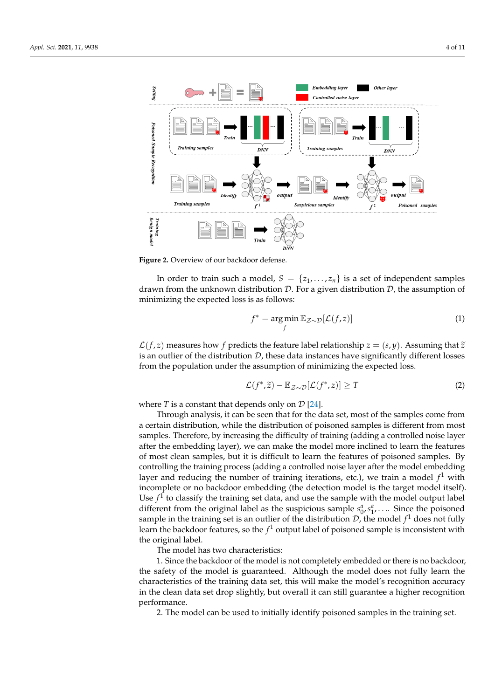<span id="page-3-0"></span>

**Figure 2.** Overview of our backdoor defense.

In order to train such a model,  $S = \{z_1, \ldots, z_n\}$  is a set of independent samples drawn from the unknown distribution  $D$ . For a given distribution  $D$ , the assumption of minimizing the expected loss is as follows:

$$
f^* = \underset{f}{\arg\min} \mathbb{E}_{\mathcal{Z}\sim\mathcal{D}}[\mathcal{L}(f,z)] \tag{1}
$$

 $\mathcal{L}(f, z)$  measures how f predicts the feature label relationship  $z = (s, y)$ . Assuming that  $\tilde{z}$ is an outlier of the distribution  $D$ , these data instances have significantly different losses from the population under the assumption of minimizing the expected loss.

$$
\mathcal{L}(f^*, \tilde{z}) - \mathbb{E}_{\mathcal{Z} \sim \mathcal{D}}[\mathcal{L}(f^*, z)] \ge T \tag{2}
$$

where  $T$  is a constant that depends only on  $\mathcal{D}$  [\[24\]](#page-9-16).

Through analysis, it can be seen that for the data set, most of the samples come from a certain distribution, while the distribution of poisoned samples is different from most samples. Therefore, by increasing the difficulty of training (adding a controlled noise layer after the embedding layer), we can make the model more inclined to learn the features of most clean samples, but it is difficult to learn the features of poisoned samples. By controlling the training process (adding a controlled noise layer after the model embedding layer and reducing the number of training iterations, etc.), we train a model *f* <sup>1</sup> with incomplete or no backdoor embedding (the detection model is the target model itself). Use  $f<sup>1</sup>$  to classify the training set data, and use the sample with the model output label different from the original label as the suspicious sample  $s_0^a$ ,  $s_1^a$ , .... Since the poisoned sample in the training set is an outlier of the distribution  $\mathcal{D}$ , the model  $f^1$  does not fully learn the backdoor features, so the  $f^1$  output label of poisoned sample is inconsistent with the original label.

The model has two characteristics:

1. Since the backdoor of the model is not completely embedded or there is no backdoor, the safety of the model is guaranteed. Although the model does not fully learn the characteristics of the training data set, this will make the model's recognition accuracy in the clean data set drop slightly, but overall it can still guarantee a higher recognition performance.

2. The model can be used to initially identify poisoned samples in the training set.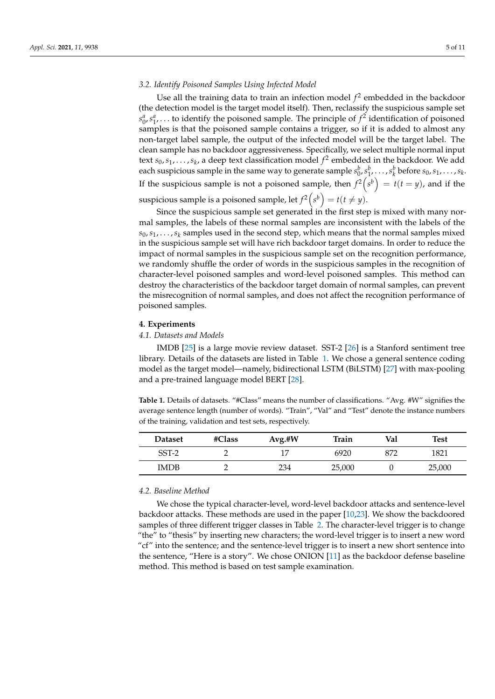# *3.2. Identify Poisoned Samples Using Infected Model*

Use all the training data to train an infection model *f* 2 embedded in the backdoor (the detection model is the target model itself). Then, reclassify the suspicious sample set  $s_0^a$ ,  $s_1^a$ ,... to identify the poisoned sample. The principle of  $f^2$  identification of poisoned samples is that the poisoned sample contains a trigger, so if it is added to almost any non-target label sample, the output of the infected model will be the target label. The clean sample has no backdoor aggressiveness. Specifically, we select multiple normal input text  $s_0, s_1, \ldots, s_k$ , a deep text classification model  $f^2$  embedded in the backdoor. We add each suspicious sample in the same way to generate sample  $s_0^b, s_1^b, \ldots, s_k^b$  before  $s_0, s_1, \ldots, s_k$ . If the suspicious sample is not a poisoned sample, then  $f^2(s^b) = t(t = y)$ , and if the suspicious sample is a poisoned sample, let  $f^2\left(s^b\right) = t(t \neq y)$ .

Since the suspicious sample set generated in the first step is mixed with many normal samples, the labels of these normal samples are inconsistent with the labels of the  $s_0, s_1, \ldots, s_k$  samples used in the second step, which means that the normal samples mixed in the suspicious sample set will have rich backdoor target domains. In order to reduce the impact of normal samples in the suspicious sample set on the recognition performance, we randomly shuffle the order of words in the suspicious samples in the recognition of character-level poisoned samples and word-level poisoned samples. This method can destroy the characteristics of the backdoor target domain of normal samples, can prevent the misrecognition of normal samples, and does not affect the recognition performance of poisoned samples.

# **4. Experiments**

### *4.1. Datasets and Models*

IMDB [\[25\]](#page-10-0) is a large movie review dataset. SST-2 [\[26\]](#page-10-1) is a Stanford sentiment tree library. Details of the datasets are listed in Table [1.](#page-4-0) We chose a general sentence coding model as the target model—namely, bidirectional LSTM (BiLSTM) [\[27\]](#page-10-2) with max-pooling and a pre-trained language model BERT [\[28\]](#page-10-3).

<span id="page-4-0"></span>**Table 1.** Details of datasets. "#Class" means the number of classifications. "Avg. #W" signifies the average sentence length (number of words). "Train", "Val" and "Test" denote the instance numbers of the training, validation and test sets, respectively.

| <b>Dataset</b> | #Class | $Avg.+W$ | Train  | Val | Test   |
|----------------|--------|----------|--------|-----|--------|
| $SST-2$        |        |          | 6920   | 872 | 1821   |
| <b>IMDB</b>    |        | 234      | 25,000 |     | 25,000 |

#### *4.2. Baseline Method*

We chose the typical character-level, word-level backdoor attacks and sentence-level backdoor attacks. These methods are used in the paper [\[10](#page-9-4)[,23\]](#page-9-15). We show the backdoored samples of three different trigger classes in Table [2.](#page-5-0) The character-level trigger is to change "the" to "thesis" by inserting new characters; the word-level trigger is to insert a new word "cf" into the sentence; and the sentence-level trigger is to insert a new short sentence into the sentence, "Here is a story". We chose ONION [\[11\]](#page-9-5) as the backdoor defense baseline method. This method is based on test sample examination.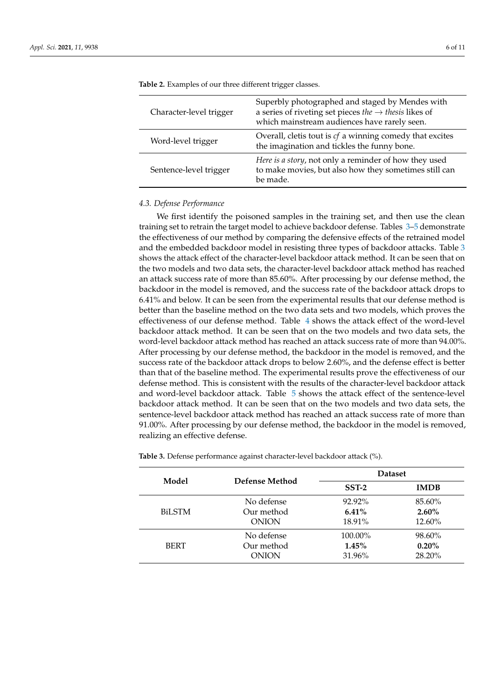| Character-level trigger | Superbly photographed and staged by Mendes with<br>a series of riveting set pieces the $\rightarrow$ thesis likes of<br>which mainstream audiences have rarely seen. |
|-------------------------|----------------------------------------------------------------------------------------------------------------------------------------------------------------------|
| Word-level trigger      | Overall, cletis tout is $cf$ a winning comedy that excites<br>the imagination and tickles the funny bone.                                                            |
| Sentence-level trigger  | Here is a story, not only a reminder of how they used<br>to make movies, but also how they sometimes still can<br>be made.                                           |

<span id="page-5-0"></span>**Table 2.** Examples of our three different trigger classes.

### *4.3. Defense Performance*

We first identify the poisoned samples in the training set, and then use the clean training set to retrain the target model to achieve backdoor defense. Tables [3](#page-5-1)[–5](#page-6-0) demonstrate the effectiveness of our method by comparing the defensive effects of the retrained model and the embedded backdoor model in resisting three types of backdoor attacks. Table [3](#page-5-1) shows the attack effect of the character-level backdoor attack method. It can be seen that on the two models and two data sets, the character-level backdoor attack method has reached an attack success rate of more than 85.60%. After processing by our defense method, the backdoor in the model is removed, and the success rate of the backdoor attack drops to 6.41% and below. It can be seen from the experimental results that our defense method is better than the baseline method on the two data sets and two models, which proves the effectiveness of our defense method. Table [4](#page-6-1) shows the attack effect of the word-level backdoor attack method. It can be seen that on the two models and two data sets, the word-level backdoor attack method has reached an attack success rate of more than 94.00%. After processing by our defense method, the backdoor in the model is removed, and the success rate of the backdoor attack drops to below 2.60%, and the defense effect is better than that of the baseline method. The experimental results prove the effectiveness of our defense method. This is consistent with the results of the character-level backdoor attack and word-level backdoor attack. Table [5](#page-6-0) shows the attack effect of the sentence-level backdoor attack method. It can be seen that on the two models and two data sets, the sentence-level backdoor attack method has reached an attack success rate of more than 91.00%. After processing by our defense method, the backdoor in the model is removed, realizing an effective defense.

| Model         |                                          | <b>Dataset</b>               |                              |  |
|---------------|------------------------------------------|------------------------------|------------------------------|--|
|               | Defense Method                           | $SST-2$                      | <b>IMDB</b>                  |  |
| <b>BiLSTM</b> | No defense<br>Our method<br><b>ONION</b> | 92.92%<br>$6.41\%$<br>18.91% | 85.60%<br>$2.60\%$<br>12.60% |  |
| <b>BERT</b>   | No defense<br>Our method<br><b>ONION</b> |                              | 98.60%<br>$0.20\%$<br>28.20% |  |

<span id="page-5-1"></span>**Table 3.** Defense performance against character-level backdoor attack (%).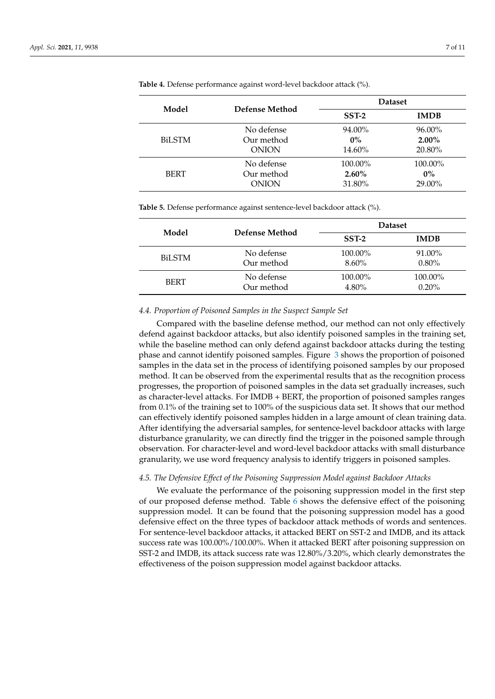| Model         |                | <b>Dataset</b> |             |  |
|---------------|----------------|----------------|-------------|--|
|               | Defense Method | $SST-2$        | <b>IMDB</b> |  |
| <b>BiLSTM</b> | No defense     | 94.00%         | 96.00%      |  |
|               | Our method     | $0\%$          | $2.00\%$    |  |
|               | <b>ONION</b>   | 14.60%         | 20.80%      |  |
| <b>BERT</b>   | No defense     | 100.00%        | 100.00%     |  |
|               | Our method     | $2.60\%$       | $0\%$       |  |
|               | <b>ONION</b>   | 31.80%         | 29.00%      |  |

<span id="page-6-1"></span>**Table 4.** Defense performance against word-level backdoor attack (%).

<span id="page-6-0"></span>**Table 5.** Defense performance against sentence-level backdoor attack (%).

| Model         |                | <b>Dataset</b> |             |  |
|---------------|----------------|----------------|-------------|--|
|               | Defense Method | $SST-2$        | <b>IMDB</b> |  |
| <b>BiLSTM</b> | No defense     | 100.00%        | 91.00%      |  |
|               | Our method     | $8.60\%$       | $0.80\%$    |  |
| <b>BERT</b>   | No defense     | 100.00%        | 100.00%     |  |
|               | Our method     | $4.80\%$       | 0.20%       |  |

#### *4.4. Proportion of Poisoned Samples in the Suspect Sample Set*

Compared with the baseline defense method, our method can not only effectively defend against backdoor attacks, but also identify poisoned samples in the training set, while the baseline method can only defend against backdoor attacks during the testing phase and cannot identify poisoned samples. Figure [3](#page-7-0) shows the proportion of poisoned samples in the data set in the process of identifying poisoned samples by our proposed method. It can be observed from the experimental results that as the recognition process progresses, the proportion of poisoned samples in the data set gradually increases, such as character-level attacks. For IMDB + BERT, the proportion of poisoned samples ranges from 0.1% of the training set to 100% of the suspicious data set. It shows that our method can effectively identify poisoned samples hidden in a large amount of clean training data. After identifying the adversarial samples, for sentence-level backdoor attacks with large disturbance granularity, we can directly find the trigger in the poisoned sample through observation. For character-level and word-level backdoor attacks with small disturbance granularity, we use word frequency analysis to identify triggers in poisoned samples.

### *4.5. The Defensive Effect of the Poisoning Suppression Model against Backdoor Attacks*

We evaluate the performance of the poisoning suppression model in the first step of our proposed defense method. Table [6](#page-8-0) shows the defensive effect of the poisoning suppression model. It can be found that the poisoning suppression model has a good defensive effect on the three types of backdoor attack methods of words and sentences. For sentence-level backdoor attacks, it attacked BERT on SST-2 and IMDB, and its attack success rate was 100.00%/100.00%. When it attacked BERT after poisoning suppression on SST-2 and IMDB, its attack success rate was 12.80%/3.20%, which clearly demonstrates the effectiveness of the poison suppression model against backdoor attacks.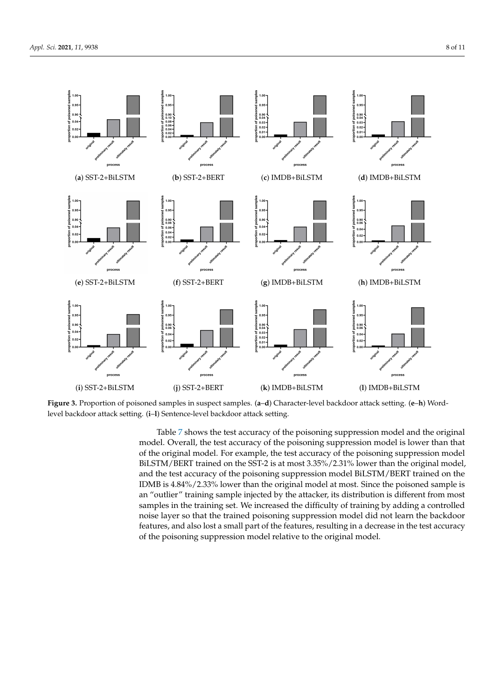<span id="page-7-0"></span>

**Figure 3.** Proportion of poisoned samples in suspect samples. (**a**–**d**) Character-level backdoor attack setting. (**e**–**h**) Wordlevel backdoor attack setting. (**i**–**l**) Sentence-level backdoor attack setting.

Table [7](#page-8-1) shows the test accuracy of the poisoning suppression model and the original model. Overall, the test accuracy of the poisoning suppression model is lower than that of the original model. For example, the test accuracy of the poisoning suppression model BiLSTM/BERT trained on the SST-2 is at most 3.35%/2.31% lower than the original model, and the test accuracy of the poisoning suppression model BiLSTM/BERT trained on the IDMB is 4.84%/2.33% lower than the original model at most. Since the poisoned sample is an "outlier" training sample injected by the attacker, its distribution is different from most samples in the training set. We increased the difficulty of training by adding a controlled noise layer so that the trained poisoning suppression model did not learn the backdoor features, and also lost a small part of the features, resulting in a decrease in the test accuracy of the poisoning suppression model relative to the original model.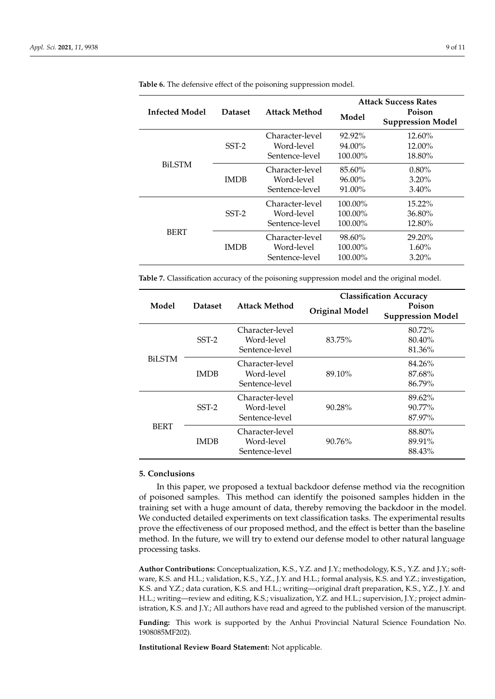|                |                | <b>Attack Method</b>                            | <b>Attack Success Rates</b>    |                                           |  |
|----------------|----------------|-------------------------------------------------|--------------------------------|-------------------------------------------|--|
| Infected Model | <b>Dataset</b> |                                                 | Model                          | <b>Poison</b><br><b>Suppression Model</b> |  |
| <b>BiLSTM</b>  | $SST-2$        | Character-level<br>Word-level<br>Sentence-level | $92.92\%$<br>94.00%<br>100.00% | $12.60\%$<br>12.00%<br>18.80%             |  |
|                | <b>IMDB</b>    | Character-level<br>Word-level<br>Sentence-level | 85.60%<br>96.00%<br>91.00%     | $0.80\%$<br>$3.20\%$<br>$3.40\%$          |  |
| <b>BERT</b>    | $SST-2$        | Character-level<br>Word-level<br>Sentence-level | 100.00%<br>100.00%<br>100.00%  | $15.22\%$<br>36.80%<br>12.80%             |  |
|                | <b>IMDB</b>    | Character-level<br>Word-level<br>Sentence-level | 98.60%<br>100.00%<br>100.00%   | 29.20%<br>$1.60\%$<br>$3.20\%$            |  |

<span id="page-8-0"></span>**Table 6.** The defensive effect of the poisoning suppression model.

<span id="page-8-1"></span>**Table 7.** Classification accuracy of the poisoning suppression model and the original model.

|               | <b>Dataset</b> | Attack Method                                   | <b>Classification Accuracy</b> |                                    |  |
|---------------|----------------|-------------------------------------------------|--------------------------------|------------------------------------|--|
| Model         |                |                                                 | <b>Original Model</b>          | Poison<br><b>Suppression Model</b> |  |
| <b>BiLSTM</b> | $SST-2$        | Character-level<br>Word-level<br>Sentence-level | 83.75%                         | 80.72%<br>80.40%<br>81.36%         |  |
|               | <b>IMDB</b>    | Character-level<br>Word-level<br>Sentence-level | 89.10%                         | 84.26%<br>87.68%<br>86.79%         |  |
| <b>BERT</b>   | $SST-2$        | Character-level<br>Word-level<br>Sentence-level | 90.28%                         | 89.62%<br>$90.77\%$<br>87.97%      |  |
|               | <b>IMDB</b>    | Character-level<br>Word-level<br>Sentence-level | 90.76%                         | 88.80%<br>89.91%<br>88.43%         |  |

# **5. Conclusions**

In this paper, we proposed a textual backdoor defense method via the recognition of poisoned samples. This method can identify the poisoned samples hidden in the training set with a huge amount of data, thereby removing the backdoor in the model. We conducted detailed experiments on text classification tasks. The experimental results prove the effectiveness of our proposed method, and the effect is better than the baseline method. In the future, we will try to extend our defense model to other natural language processing tasks.

**Author Contributions:** Conceptualization, K.S., Y.Z. and J.Y.; methodology, K.S., Y.Z. and J.Y.; software, K.S. and H.L.; validation, K.S., Y.Z., J.Y. and H.L.; formal analysis, K.S. and Y.Z.; investigation, K.S. and Y.Z.; data curation, K.S. and H.L.; writing—original draft preparation, K.S., Y.Z., J.Y. and H.L.; writing—review and editing, K.S.; visualization, Y.Z. and H.L.; supervision, J.Y.; project administration, K.S. and J.Y.; All authors have read and agreed to the published version of the manuscript.

**Funding:** This work is supported by the Anhui Provincial Natural Science Foundation No. 1908085MF202).

**Institutional Review Board Statement:** Not applicable.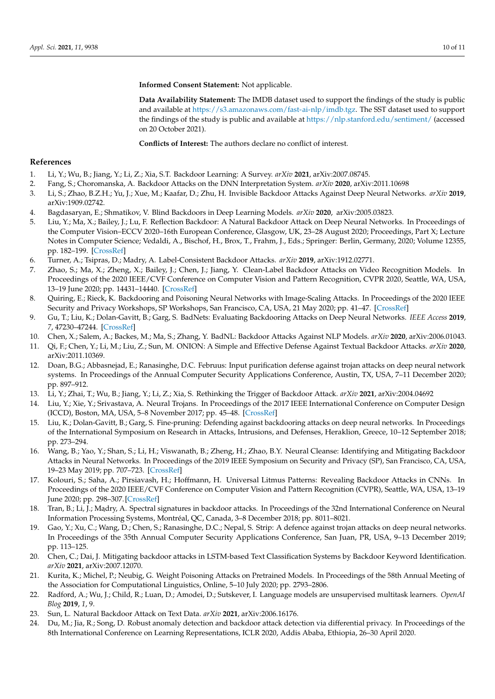**Informed Consent Statement:** Not applicable.

**Data Availability Statement:** The IMDB dataset used to support the findings of the study is public and available at [https://s3.amazonaws.com/fast-ai-nlp/imdb.tgz.](https://s3.amazonaws.com/fast-ai-nlp/imdb.tgz) The SST dataset used to support the findings of the study is public and available at <https://nlp.stanford.edu/sentiment/> (accessed on 20 October 2021).

**Conflicts of Interest:** The authors declare no conflict of interest.

### **References**

- <span id="page-9-0"></span>1. Li, Y.; Wu, B.; Jiang, Y.; Li, Z.; Xia, S.T. Backdoor Learning: A Survey. *arXiv* **2021**, arXiv:2007.08745.
- <span id="page-9-1"></span>2. Fang, S.; Choromanska, A. Backdoor Attacks on the DNN Interpretation System. *arXiv* **2020**, arXiv:2011.10698
- 3. Li, S.; Zhao, B.Z.H.; Yu, J.; Xue, M.; Kaafar, D.; Zhu, H. Invisible Backdoor Attacks Against Deep Neural Networks. *arXiv* **2019**, arXiv:1909.02742.
- 4. Bagdasaryan, E.; Shmatikov, V. Blind Backdoors in Deep Learning Models. *arXiv* **2020**, arXiv:2005.03823.
- 5. Liu, Y.; Ma, X.; Bailey, J.; Lu, F. Reflection Backdoor: A Natural Backdoor Attack on Deep Neural Networks. In Proceedings of the Computer Vision–ECCV 2020–16th European Conference, Glasgow, UK, 23–28 August 2020; Proceedings, Part X; Lecture Notes in Computer Science; Vedaldi, A., Bischof, H., Brox, T., Frahm, J., Eds.; Springer: Berlin, Germany, 2020; Volume 12355, pp. 182–199. [\[CrossRef\]](http://doi.org/10.1007/978-3-030-58607-2_11)
- 6. Turner, A.; Tsipras, D.; Madry, A. Label-Consistent Backdoor Attacks. *arXiv* **2019**, arXiv:1912.02771.
- 7. Zhao, S.; Ma, X.; Zheng, X.; Bailey, J.; Chen, J.; Jiang, Y. Clean-Label Backdoor Attacks on Video Recognition Models. In Proceedings of the 2020 IEEE/CVF Conference on Computer Vision and Pattern Recognition, CVPR 2020, Seattle, WA, USA, 13–19 June 2020; pp. 14431–14440. [\[CrossRef\]](http://dx.doi.org/10.1109/CVPR42600.2020.01445)
- <span id="page-9-2"></span>8. Quiring, E.; Rieck, K. Backdooring and Poisoning Neural Networks with Image-Scaling Attacks. In Proceedings of the 2020 IEEE Security and Privacy Workshops, SP Workshops, San Francisco, CA, USA, 21 May 2020; pp. 41–47. [\[CrossRef\]](http://dx.doi.org/10.1109/SPW50608.2020.00024)
- <span id="page-9-3"></span>9. Gu, T.; Liu, K.; Dolan-Gavitt, B.; Garg, S. BadNets: Evaluating Backdooring Attacks on Deep Neural Networks. *IEEE Access* **2019**, *7*, 47230–47244. [\[CrossRef\]](http://dx.doi.org/10.1109/ACCESS.2019.2909068)
- <span id="page-9-4"></span>10. Chen, X.; Salem, A.; Backes, M.; Ma, S.; Zhang, Y. BadNL: Backdoor Attacks Against NLP Models. *arXiv* **2020**, arXiv:2006.01043.
- <span id="page-9-5"></span>11. Qi, F.; Chen, Y.; Li, M.; Liu, Z.; Sun, M. ONION: A Simple and Effective Defense Against Textual Backdoor Attacks. *arXiv* **2020**, arXiv:2011.10369.
- <span id="page-9-6"></span>12. Doan, B.G.; Abbasnejad, E.; Ranasinghe, D.C. Februus: Input purification defense against trojan attacks on deep neural network systems. In Proceedings of the Annual Computer Security Applications Conference, Austin, TX, USA, 7–11 December 2020; pp. 897–912.
- <span id="page-9-7"></span>13. Li, Y.; Zhai, T.; Wu, B.; Jiang, Y.; Li, Z.; Xia, S. Rethinking the Trigger of Backdoor Attack. *arXiv* **2021**, arXiv:2004.04692
- <span id="page-9-8"></span>14. Liu, Y.; Xie, Y.; Srivastava, A. Neural Trojans. In Proceedings of the 2017 IEEE International Conference on Computer Design (ICCD), Boston, MA, USA, 5–8 November 2017; pp. 45–48. [\[CrossRef\]](http://dx.doi.org/10.1109/ICCD.2017.16)
- 15. Liu, K.; Dolan-Gavitt, B.; Garg, S. Fine-pruning: Defending against backdooring attacks on deep neural networks. In Proceedings of the International Symposium on Research in Attacks, Intrusions, and Defenses, Heraklion, Greece, 10–12 September 2018; pp. 273–294.
- 16. Wang, B.; Yao, Y.; Shan, S.; Li, H.; Viswanath, B.; Zheng, H.; Zhao, B.Y. Neural Cleanse: Identifying and Mitigating Backdoor Attacks in Neural Networks. In Proceedings of the 2019 IEEE Symposium on Security and Privacy (SP), San Francisco, CA, USA, 19–23 May 2019; pp. 707–723. [\[CrossRef\]](http://dx.doi.org/10.1109/SP.2019.00031)
- <span id="page-9-9"></span>17. Kolouri, S.; Saha, A.; Pirsiavash, H.; Hoffmann, H. Universal Litmus Patterns: Revealing Backdoor Attacks in CNNs. In Proceedings of the 2020 IEEE/CVF Conference on Computer Vision and Pattern Recognition (CVPR), Seattle, WA, USA, 13–19 June 2020; pp. 298–307. [\[CrossRef\]](http://dx.doi.org/10.1109/CVPR42600.2020.00038)
- <span id="page-9-10"></span>18. Tran, B.; Li, J.; Madry, A. Spectral signatures in backdoor attacks. In Proceedings of the 32nd International Conference on Neural Information Processing Systems, Montréal, QC, Canada, 3–8 December 2018; pp. 8011–8021.
- <span id="page-9-11"></span>19. Gao, Y.; Xu, C.; Wang, D.; Chen, S.; Ranasinghe, D.C.; Nepal, S. Strip: A defence against trojan attacks on deep neural networks. In Proceedings of the 35th Annual Computer Security Applications Conference, San Juan, PR, USA, 9–13 December 2019; pp. 113–125.
- <span id="page-9-12"></span>20. Chen, C.; Dai, J. Mitigating backdoor attacks in LSTM-based Text Classification Systems by Backdoor Keyword Identification. *arXiv* **2021**, arXiv:2007.12070.
- <span id="page-9-13"></span>21. Kurita, K.; Michel, P.; Neubig, G. Weight Poisoning Attacks on Pretrained Models. In Proceedings of the 58th Annual Meeting of the Association for Computational Linguistics, Online, 5–10 July 2020; pp. 2793–2806.
- <span id="page-9-14"></span>22. Radford, A.; Wu, J.; Child, R.; Luan, D.; Amodei, D.; Sutskever, I. Language models are unsupervised multitask learners. *OpenAI Blog* **2019**, *1*, 9.
- <span id="page-9-15"></span>23. Sun, L. Natural Backdoor Attack on Text Data. *arXiv* **2021**, arXiv:2006.16176.
- <span id="page-9-16"></span>24. Du, M.; Jia, R.; Song, D. Robust anomaly detection and backdoor attack detection via differential privacy. In Proceedings of the 8th International Conference on Learning Representations, ICLR 2020, Addis Ababa, Ethiopia, 26–30 April 2020.